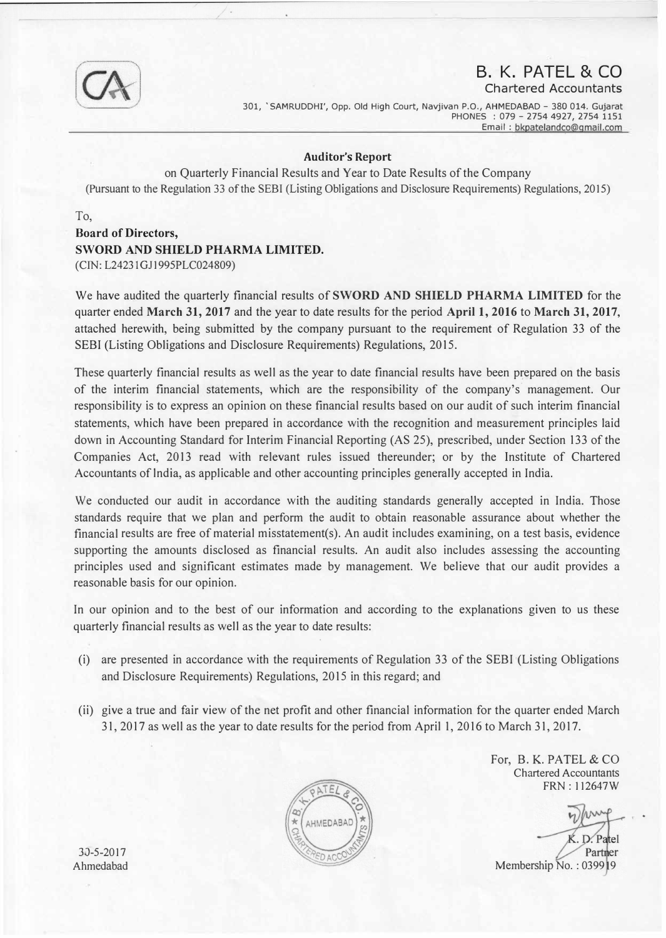

## B. K. PATEL & CO

Chartered Accountants

301, 'SAMRUDDHI', Opp. Old High Court, Navjivan P.O., AHMEDABAD - 380 014. Gujarat PHONES : 079 - 2754 4927, 2754 1151 Email : bkpatelandco@gmail.com

## Auditor's Report

on Quarterly Financial Results and Year to Date Results of the Company (Pursuant to the Regulation 33 of the SEBI (Listing Obligations and Disclosure Requirements) Regulations, 2015)

To,

Board of Directors, SWORD AND SHIELD PHARMA LIMITED. (CIN: L24231GJ1995PLC024809)

We have audited the quarterly financial results of SWORD AND SHIELD PHARMA LIMITED for the quarter ended March 31, 2017 and the year to date results for the period April 1, 2016 to March 31, 2017, attached herewith, being submitted by the company pursuant to the requirement of Regulation 33 of the SEBI (Listing Obligations and Disclosure Requirements) Regulations, 2015.

These quarterly financial results as well as the year to date financial results have been prepared on the basis of the interim financial statements, which are the responsibility of the company's management. Our responsibility is to express an opinion on these financial results based on our audit of such interim financial statements, which have been prepared in accordance with the recognition and measurement principles laid down in Accounting Standard for Interim Financial Reporting (AS 25), prescribed, under Section 133 of the Companies Act, 2013 read with relevant rules issued thereunder; or by the Institute of Chartered Accountants of lndia, as applicable and other accounting principles generally accepted in India.

We conducted our audit in accordance with the auditing standards generally accepted in India. Those standards require that we plan and perform the audit to obtain reasonable assurance about whether the financial results are free of material misstatement(s). An audit includes examining, on a test basis, evidence supporting the amounts disclosed as financial results. An audit also includes assessing the accounting principles used and significant estimates made by management. We believe that our audit provides a reasonable basis for our opinion.

In our opinion and to the best of our information and according to the explanations given to us these quarterly financial results as well as the year to date results:

- (i) are presented in accordance with the requirements of Regulation 33 of the SEBI (Listing Obligations and Disclosure Requirements) Regulations, 2015 in this regard; and
- (ii) give a true and fair view of the net profit and other financial information for the quarter ended March 31, 2017 as well as the year to date results for the period from April 1, 2016 to March 31, 2017.

For, B. K. PATEL & CO Chartered Accountants FRN : 112647W

er Membership No.: 039919  $\mathbf{r}$  .



30-5-2017 Ahmedabad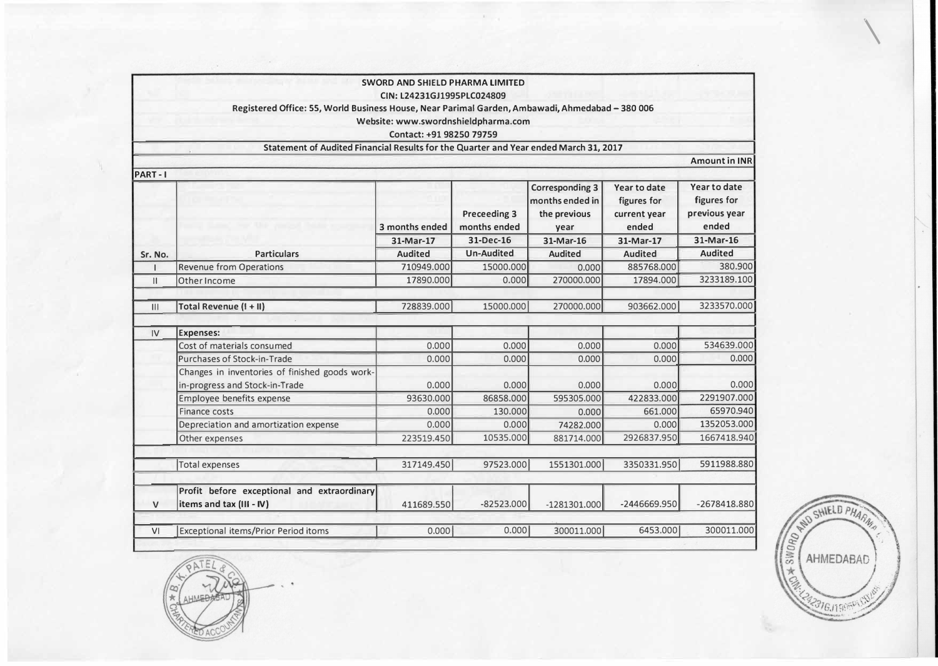|                |                                                                                                 | <b>SWORD AND SHIELD PHARMA LIMITED</b> |                                     |                                                                   |                                                      |                                                       |
|----------------|-------------------------------------------------------------------------------------------------|----------------------------------------|-------------------------------------|-------------------------------------------------------------------|------------------------------------------------------|-------------------------------------------------------|
|                |                                                                                                 | CIN: L24231GJ1995PLC024809             |                                     |                                                                   |                                                      |                                                       |
|                | Registered Office: 55, World Business House, Near Parimal Garden, Ambawadi, Ahmedabad - 380 006 |                                        |                                     |                                                                   |                                                      |                                                       |
|                |                                                                                                 | Website: www.swordnshieldpharma.com    |                                     |                                                                   |                                                      |                                                       |
|                |                                                                                                 | Contact: +91 98250 79759               |                                     |                                                                   |                                                      |                                                       |
|                | Statement of Audited Financial Results for the Quarter and Year ended March 31, 2017            |                                        |                                     |                                                                   |                                                      |                                                       |
|                |                                                                                                 |                                        |                                     |                                                                   |                                                      | <b>Amount in INR</b>                                  |
| PART-I         |                                                                                                 |                                        |                                     |                                                                   |                                                      |                                                       |
|                |                                                                                                 | 3 months ended                         | <b>Preceeding 3</b><br>months ended | <b>Corresponding 3</b><br>months ended in<br>the previous<br>year | Year to date<br>figures for<br>current year<br>ended | Year to date<br>figures for<br>previous year<br>ended |
|                |                                                                                                 | 31-Mar-17                              | 31-Dec-16                           | 31-Mar-16                                                         | 31-Mar-17                                            | 31-Mar-16                                             |
| Sr. No.        | <b>Particulars</b>                                                                              | <b>Audited</b>                         | <b>Un-Audited</b>                   | <b>Audited</b>                                                    | <b>Audited</b>                                       | <b>Audited</b>                                        |
|                | <b>Revenue from Operations</b>                                                                  | 710949.000                             | 15000.000                           | 0.000                                                             | 885768.000                                           | 380.900                                               |
| $\mathbf{H}$   | Other Income                                                                                    | 17890.000                              | 0.000                               | 270000.000                                                        | 17894.000                                            | 3233189.100                                           |
| $\mathsf{III}$ | Total Revenue (I + II)                                                                          | 728839.000                             | 15000.000                           | 270000.000                                                        | 903662.000                                           | 3233570.000                                           |
| IV             | <b>Expenses:</b>                                                                                |                                        |                                     |                                                                   |                                                      |                                                       |
|                | Cost of materials consumed                                                                      | 0.000                                  | 0.000                               | 0.000                                                             | 0.000                                                | 534639.000                                            |
|                | Purchases of Stock-in-Trade                                                                     | 0.000                                  | 0.000                               | 0.000                                                             | 0.000                                                | 0.000                                                 |
|                | Changes in inventories of finished goods work-<br>in-progress and Stock-in-Trade                | 0.000                                  | 0.000                               | 0.000                                                             | 0.000                                                | 0.000                                                 |
|                | Employee benefits expense                                                                       | 93630.000                              | 86858.000                           | 595305.000                                                        | 422833.000                                           | 2291907.000                                           |
|                | Finance costs                                                                                   | 0.000                                  | 130.000                             | 0.000                                                             | 661.000                                              | 65970.940                                             |
|                | Depreciation and amortization expense                                                           | 0.000                                  | 0.000                               | 74282,000                                                         | 0.000                                                | 1352053.000                                           |
|                | Other expenses                                                                                  | 223519.450                             | 10535.000                           | 881714.000                                                        | 2926837.950                                          | 1667418.940                                           |
|                | <b>Total expenses</b>                                                                           | 317149.450                             | 97523.000                           | 1551301.000                                                       | 3350331.950                                          | 5911988.880                                           |
|                | Profit before exceptional and extraordinary                                                     |                                        | $-82523.000$                        |                                                                   | -2446669.950                                         | -2678418.880                                          |
| $\mathsf{V}$   | items and tax (III - IV)                                                                        | 411689.550                             |                                     | $-1281301.000$                                                    |                                                      |                                                       |
| V <sub>1</sub> | <b>Exceptional items/Prior Period itoms</b>                                                     | 0.000                                  | 0.000                               | 300011.000                                                        | 6453.000                                             | 300011.000                                            |



 $\overline{\phantom{a}}$ 

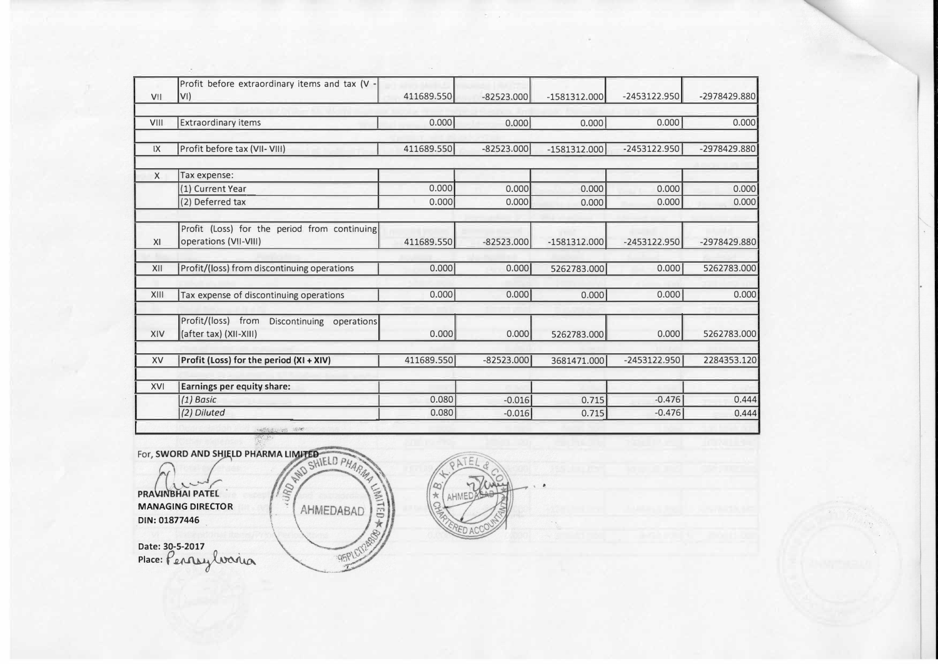|                         | Profit before extraordinary items and tax (V -                        |            |              |                |                |                |
|-------------------------|-----------------------------------------------------------------------|------------|--------------|----------------|----------------|----------------|
| V1                      | VI)                                                                   | 411689.550 | $-82523.000$ | $-1581312.000$ | $-2453122.950$ | -2978429.880   |
| VIII                    | <b>Extraordinary items</b>                                            | 0.000      | 0.000        | 0.000          | 0.000          | 0.000          |
|                         |                                                                       |            |              |                |                |                |
| $\mathsf{I} \mathsf{X}$ | Profit before tax (VII- VIII)                                         | 411689.550 | $-82523.000$ | $-1581312.000$ | $-2453122.950$ | $-2978429.880$ |
| $\times$                | Tax expense:                                                          |            |              |                |                |                |
|                         | (1) Current Year                                                      | 0.000      | 0.000        | 0.000          | 0.000          | 0.000          |
|                         | (2) Deferred tax                                                      | 0.000      | 0.000        | 0.000          | 0.000          | 0.000          |
| XI                      | Profit (Loss) for the period from continuing<br>operations (VII-VIII) | 411689.550 | $-82523.000$ | $-1581312.000$ | $-2453122.950$ | $-2978429.880$ |
| XII                     | Profit/(loss) from discontinuing operations                           | 0.000      | 0.000        | 5262783.000    | 0.000          | 5262783.000    |
|                         |                                                                       |            |              |                |                |                |
| XIII                    | Tax expense of discontinuing operations                               | 0.000      | 0.000        | 0.000          | 0.000          | 0.000          |
|                         | Profit/(loss) from<br>Discontinuing operations                        |            |              |                |                |                |
| XIV                     | (after tax) (XII-XIII)                                                | 0.000      | 0.0001       | 5262783.000    | 0.000          | 5262783.000    |
| XV                      | Profit (Loss) for the period (XI + XIV)                               | 411689.550 | $-82523.000$ | 3681471.000    | $-2453122.950$ | 2284353.120    |
| XVI                     | <b>Earnings per equity share:</b>                                     |            |              |                |                |                |
|                         | $(1)$ Basic                                                           | 0.080      | $-0.016$     | 0.715          | $-0.476$       | 0.444          |
|                         | (2) Diluted                                                           | 0.080      | $-0.016$     | 0.715          | $-0.476$       | 0.444          |

MANAGING DIRECTOR DIN: 01877446

For, SWORD AND SHIELD PHARMA LIMITED FHARM WITED-\* AHMEDABAD 95PLCD

Date: 30-5-2017<br>Place: Pennsylvaria

 $\alpha$  $\frac{1}{2}$ 

' .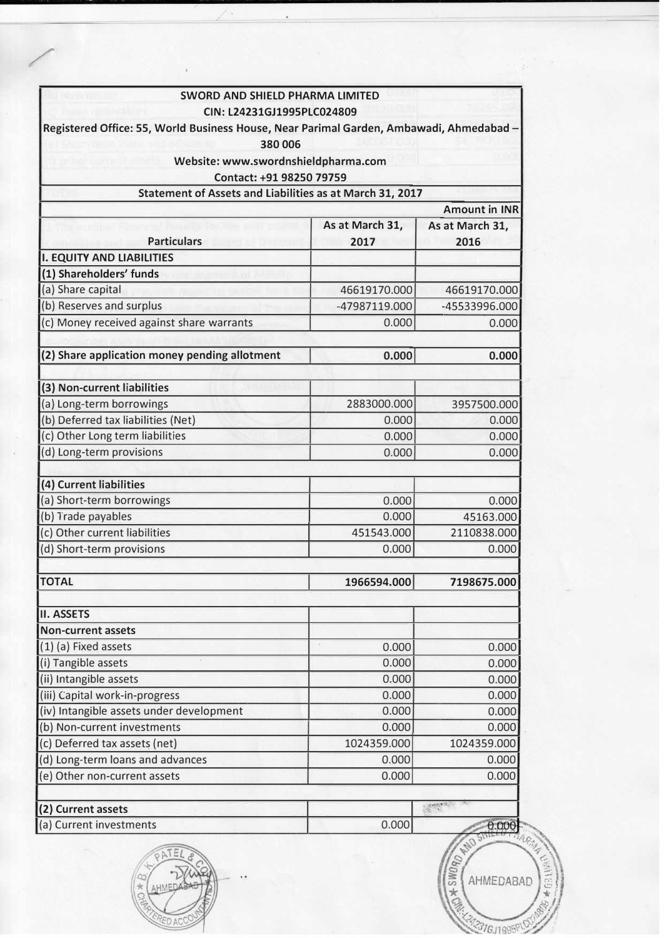| <b>SWORD AND SHIELD PHARMA LIMITED</b>                                                  |                                    |                                |  |  |
|-----------------------------------------------------------------------------------------|------------------------------------|--------------------------------|--|--|
| CIN: L24231GJ1995PLC024809                                                              |                                    |                                |  |  |
| Registered Office: 55, World Business House, Near Parimal Garden, Ambawadi, Ahmedabad - |                                    |                                |  |  |
| 380 006                                                                                 |                                    |                                |  |  |
| Website: www.swordnshieldpharma.com                                                     |                                    |                                |  |  |
| Contact: +91 98250 79759                                                                |                                    |                                |  |  |
| Statement of Assets and Liabilities as at March 31, 2017                                |                                    |                                |  |  |
|                                                                                         |                                    | <b>Amount in INR</b>           |  |  |
|                                                                                         | As at March 31,<br>As at March 31, |                                |  |  |
| <b>Particulars</b>                                                                      | 2017                               | 2016                           |  |  |
| <b>I. EQUITY AND LIABILITIES</b>                                                        |                                    |                                |  |  |
| (1) Shareholders' funds                                                                 |                                    |                                |  |  |
| (a) Share capital                                                                       | 46619170.000                       | 46619170.000                   |  |  |
| (b) Reserves and surplus                                                                | -47987119.000                      | -45533996.000                  |  |  |
| (c) Money received against share warrants                                               | 0.000                              | 0.000                          |  |  |
|                                                                                         |                                    |                                |  |  |
| (2) Share application money pending allotment                                           | 0.000                              | 0.000                          |  |  |
|                                                                                         |                                    |                                |  |  |
| (3) Non-current liabilities                                                             |                                    |                                |  |  |
| (a) Long-term borrowings                                                                | 2883000.000                        | 3957500.000                    |  |  |
| (b) Deferred tax liabilities (Net)                                                      | 0.000                              | 0.000                          |  |  |
| (c) Other Long term liabilities                                                         | 0.000                              | 0.000                          |  |  |
| (d) Long-term provisions                                                                | 0.000                              | 0.000                          |  |  |
| (4) Current liabilities                                                                 |                                    |                                |  |  |
|                                                                                         |                                    |                                |  |  |
| (a) Short-term borrowings                                                               | 0.000                              | 0.000                          |  |  |
| (b) Trade payables                                                                      | 0.000                              | 45163.000                      |  |  |
| (c) Other current liabilities                                                           | 451543.000                         | 2110838.000                    |  |  |
| (d) Short-term provisions                                                               | 0.000                              | 0.000                          |  |  |
| <b>TOTAL</b>                                                                            | 1966594.000                        | 7198675.000                    |  |  |
|                                                                                         |                                    |                                |  |  |
| <b>II. ASSETS</b>                                                                       |                                    |                                |  |  |
| <b>Non-current assets</b>                                                               |                                    |                                |  |  |
| (1) (a) Fixed assets                                                                    | 0.000                              | 0.000                          |  |  |
| (i) Tangible assets                                                                     | 0.000                              | 0.000                          |  |  |
| (ii) Intangible assets                                                                  | 0.000                              | 0.000                          |  |  |
| (iii) Capital work-in-progress                                                          | 0.000                              | 0.000                          |  |  |
| (iv) Intangible assets under development                                                | 0.000                              | 0.000                          |  |  |
| (b) Non-current investments                                                             | 0.000                              | 0.000                          |  |  |
| (c) Deferred tax assets (net)                                                           | 1024359.000                        | 1024359.000                    |  |  |
| (d) Long-term loans and advances                                                        | 0.000                              | 0.000                          |  |  |
| (e) Other non-current assets                                                            | 0.000                              | 0.000                          |  |  |
| (2) Current assets                                                                      |                                    |                                |  |  |
| (a) Current investments                                                                 | 0.000                              | 0.000                          |  |  |
|                                                                                         |                                    | + SWORD RE<br>AHMEDABAD<br>$*$ |  |  |

 $\overline{\phantom{a}}$ .

RED ACCORD

22316J1995PLOU

/